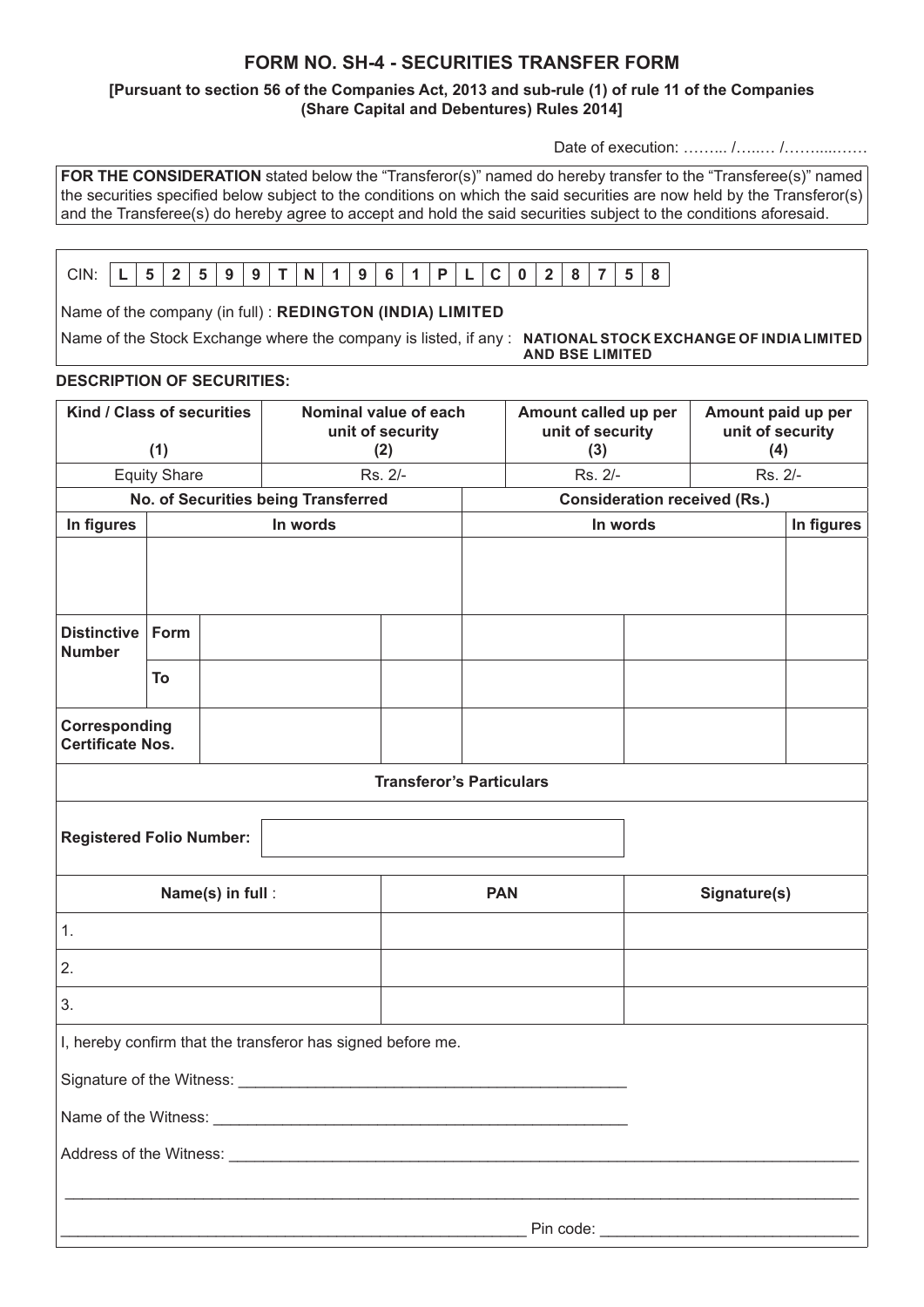# **FORM NO. SH-4 - SECURITIES TRANSFER FORM**

### **[Pursuant to section 56 of the Companies Act, 2013 and sub-rule (1) of rule 11 of the Companies (Share Capital and Debentures) Rules 2014]**

Date of execution: ……… /……… /………………

**FOR THE CONSIDERATION** stated below the "Transferor(s)" named do hereby transfer to the "Transferee(s)" named the securities specified below subject to the conditions on which the said securities are now held by the Transferor(s) and the Transferee(s) do hereby agree to accept and hold the said securities subject to the conditions aforesaid.

| CIN | - | - | <br>Ω<br><b>A</b> | N |  | $\sim$<br>.<br>Ð | D | - |  | . . |  |  |
|-----|---|---|-------------------|---|--|------------------|---|---|--|-----|--|--|
|     |   |   |                   |   |  |                  |   |   |  |     |  |  |

Name of the company (in full) : **REDINGTON (INDIA) LIMITED**

Name of the Stock Exchange where the company is listed, if any : **NATIONAL STOCK EXCHANGE OF INDIA LIMITED** 

**AND BSE LIMITED**

## **DESCRIPTION OF SECURITIES:**

| Kind / Class of securities<br>(1)                           |      |          | Nominal value of each<br>unit of security<br>(2) |  |            | Amount called up per<br>unit of security<br>(3) |          | Amount paid up per<br>unit of security<br>(4) |  |  |
|-------------------------------------------------------------|------|----------|--------------------------------------------------|--|------------|-------------------------------------------------|----------|-----------------------------------------------|--|--|
| <b>Equity Share</b>                                         |      |          | Rs. 2/-                                          |  |            | Rs. 2/-                                         |          | Rs. 2/-                                       |  |  |
| No. of Securities being Transferred                         |      |          |                                                  |  |            | <b>Consideration received (Rs.)</b>             |          |                                               |  |  |
| In figures                                                  |      | In words |                                                  |  |            |                                                 | In words |                                               |  |  |
|                                                             |      |          |                                                  |  |            |                                                 |          |                                               |  |  |
| <b>Distinctive</b><br><b>Number</b>                         | Form |          |                                                  |  |            |                                                 |          |                                               |  |  |
|                                                             | To   |          |                                                  |  |            |                                                 |          |                                               |  |  |
| Corresponding<br><b>Certificate Nos.</b>                    |      |          |                                                  |  |            |                                                 |          |                                               |  |  |
| <b>Transferor's Particulars</b>                             |      |          |                                                  |  |            |                                                 |          |                                               |  |  |
| <b>Registered Folio Number:</b>                             |      |          |                                                  |  |            |                                                 |          |                                               |  |  |
| Name(s) in full:                                            |      |          |                                                  |  | <b>PAN</b> |                                                 |          | Signature(s)                                  |  |  |
| 1.                                                          |      |          |                                                  |  |            |                                                 |          |                                               |  |  |
| 2.                                                          |      |          |                                                  |  |            |                                                 |          |                                               |  |  |
| 3.                                                          |      |          |                                                  |  |            |                                                 |          |                                               |  |  |
| I, hereby confirm that the transferor has signed before me. |      |          |                                                  |  |            |                                                 |          |                                               |  |  |
| Signature of the Witness:                                   |      |          |                                                  |  |            |                                                 |          |                                               |  |  |
|                                                             |      |          |                                                  |  |            |                                                 |          |                                               |  |  |
|                                                             |      |          |                                                  |  |            |                                                 |          |                                               |  |  |
|                                                             |      |          |                                                  |  |            |                                                 |          |                                               |  |  |